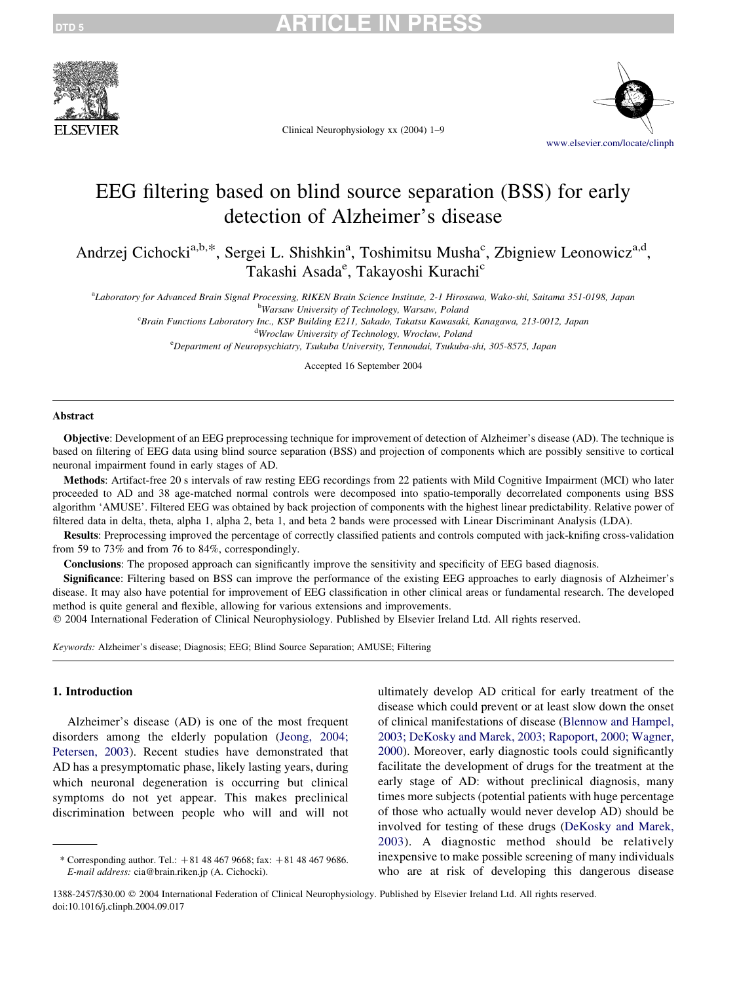

[www.elsevier.com/locate/clinph](http://www.elsevier.com/locate/clinph)

Clinical Neurophysiology xx (2004) 1–9

EEG filtering based on blind source separation (BSS) for early detection of Alzheimer's disease

Andrzej Cichocki<sup>a,b,\*</sup>, Sergei L. Shishkin<sup>a</sup>, Toshimitsu Musha<sup>c</sup>, Zbigniew Leonowicz<sup>a,d</sup>, Takashi Asada<sup>e</sup>, Takayoshi Kurachi<sup>c</sup>

a Laboratory for Advanced Brain Signal Processing, RIKEN Brain Science Institute, 2-1 Hirosawa, Wako-shi, Saitama 351-0198, Japan

**b**Warsaw University of Technology, Warsaw, Poland

c Brain Functions Laboratory Inc., KSP Building E211, Sakado, Takatsu Kawasaki, Kanagawa, 213-0012, Japan <sup>d</sup>Wroclaw University of Technology, Wroclaw, Poland

e Department of Neuropsychiatry, Tsukuba University, Tennoudai, Tsukuba-shi, 305-8575, Japan

Accepted 16 September 2004

#### Abstract

Objective: Development of an EEG preprocessing technique for improvement of detection of Alzheimer's disease (AD). The technique is based on filtering of EEG data using blind source separation (BSS) and projection of components which are possibly sensitive to cortical neuronal impairment found in early stages of AD.

Methods: Artifact-free 20 s intervals of raw resting EEG recordings from 22 patients with Mild Cognitive Impairment (MCI) who later proceeded to AD and 38 age-matched normal controls were decomposed into spatio-temporally decorrelated components using BSS algorithm 'AMUSE'. Filtered EEG was obtained by back projection of components with the highest linear predictability. Relative power of filtered data in delta, theta, alpha 1, alpha 2, beta 1, and beta 2 bands were processed with Linear Discriminant Analysis (LDA).

Results: Preprocessing improved the percentage of correctly classified patients and controls computed with jack-knifing cross-validation from 59 to 73% and from 76 to 84%, correspondingly.

Conclusions: The proposed approach can significantly improve the sensitivity and specificity of EEG based diagnosis.

Significance: Filtering based on BSS can improve the performance of the existing EEG approaches to early diagnosis of Alzheimer's disease. It may also have potential for improvement of EEG classification in other clinical areas or fundamental research. The developed method is quite general and flexible, allowing for various extensions and improvements.

 $Q$  2004 International Federation of Clinical Neurophysiology. Published by Elsevier Ireland Ltd. All rights reserved.

Keywords: Alzheimer's disease; Diagnosis; EEG; Blind Source Separation; AMUSE; Filtering

#### 1. Introduction

Alzheimer's disease (AD) is one of the most frequent disorders among the elderly population [\(Jeong, 2004;](#page-8-0) [Petersen, 2003](#page-8-0)). Recent studies have demonstrated that AD has a presymptomatic phase, likely lasting years, during which neuronal degeneration is occurring but clinical symptoms do not yet appear. This makes preclinical discrimination between people who will and will not

ultimately develop AD critical for early treatment of the disease which could prevent or at least slow down the onset of clinical manifestations of disease ([Blennow and Hampel,](#page-7-0) [2003; DeKosky and Marek, 2003; Rapoport, 2000; Wagner,](#page-7-0) [2000](#page-7-0)). Moreover, early diagnostic tools could significantly facilitate the development of drugs for the treatment at the early stage of AD: without preclinical diagnosis, many times more subjects (potential patients with huge percentage of those who actually would never develop AD) should be involved for testing of these drugs [\(DeKosky and Marek,](#page-8-0) [2003\)](#page-8-0). A diagnostic method should be relatively inexpensive to make possible screening of many individuals who are at risk of developing this dangerous disease

<sup>\*</sup> Corresponding author. Tel.:  $+81$  48 467 9668; fax:  $+81$  48 467 9686. E-mail address: cia@brain.riken.jp (A. Cichocki).

<sup>1388-2457/\$30.00</sup> q 2004 International Federation of Clinical Neurophysiology. Published by Elsevier Ireland Ltd. All rights reserved. doi:10.1016/j.clinph.2004.09.017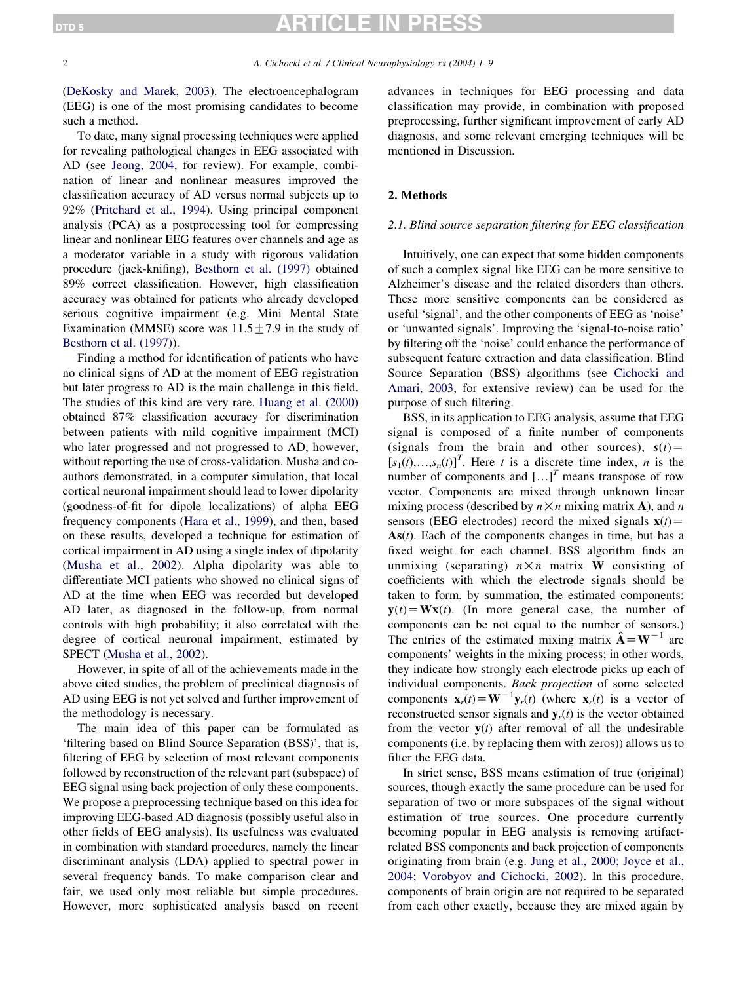### RTICLE IN PRI

([DeKosky and Marek, 2003\)](#page-8-0). The electroencephalogram (EEG) is one of the most promising candidates to become such a method.

To date, many signal processing techniques were applied for revealing pathological changes in EEG associated with AD (see [Jeong, 2004,](#page-8-0) for review). For example, combination of linear and nonlinear measures improved the classification accuracy of AD versus normal subjects up to 92% ([Pritchard et al., 1994](#page-8-0)). Using principal component analysis (PCA) as a postprocessing tool for compressing linear and nonlinear EEG features over channels and age as a moderator variable in a study with rigorous validation procedure (jack-knifing), [Besthorn et al. \(1997\)](#page-7-0) obtained 89% correct classification. However, high classification accuracy was obtained for patients who already developed serious cognitive impairment (e.g. Mini Mental State Examination (MMSE) score was  $11.5 \pm 7.9$  in the study of [Besthorn et al. \(1997\)](#page-7-0)).

Finding a method for identification of patients who have no clinical signs of AD at the moment of EEG registration but later progress to AD is the main challenge in this field. The studies of this kind are very rare. [Huang et al. \(2000\)](#page-8-0) obtained 87% classification accuracy for discrimination between patients with mild cognitive impairment (MCI) who later progressed and not progressed to AD, however, without reporting the use of cross-validation. Musha and coauthors demonstrated, in a computer simulation, that local cortical neuronal impairment should lead to lower dipolarity (goodness-of-fit for dipole localizations) of alpha EEG frequency components ([Hara et al., 1999](#page-8-0)), and then, based on these results, developed a technique for estimation of cortical impairment in AD using a single index of dipolarity ([Musha et al., 2002](#page-8-0)). Alpha dipolarity was able to differentiate MCI patients who showed no clinical signs of AD at the time when EEG was recorded but developed AD later, as diagnosed in the follow-up, from normal controls with high probability; it also correlated with the degree of cortical neuronal impairment, estimated by SPECT ([Musha et al., 2002\)](#page-8-0).

However, in spite of all of the achievements made in the above cited studies, the problem of preclinical diagnosis of AD using EEG is not yet solved and further improvement of the methodology is necessary.

The main idea of this paper can be formulated as 'filtering based on Blind Source Separation (BSS)', that is, filtering of EEG by selection of most relevant components followed by reconstruction of the relevant part (subspace) of EEG signal using back projection of only these components. We propose a preprocessing technique based on this idea for improving EEG-based AD diagnosis (possibly useful also in other fields of EEG analysis). Its usefulness was evaluated in combination with standard procedures, namely the linear discriminant analysis (LDA) applied to spectral power in several frequency bands. To make comparison clear and fair, we used only most reliable but simple procedures. However, more sophisticated analysis based on recent

advances in techniques for EEG processing and data classification may provide, in combination with proposed preprocessing, further significant improvement of early AD diagnosis, and some relevant emerging techniques will be mentioned in Discussion.

### 2. Methods

#### 2.1. Blind source separation filtering for EEG classification

Intuitively, one can expect that some hidden components of such a complex signal like EEG can be more sensitive to Alzheimer's disease and the related disorders than others. These more sensitive components can be considered as useful 'signal', and the other components of EEG as 'noise' or 'unwanted signals'. Improving the 'signal-to-noise ratio' by filtering off the 'noise' could enhance the performance of subsequent feature extraction and data classification. Blind Source Separation (BSS) algorithms (see [Cichocki and](#page-8-0) [Amari, 2003](#page-8-0), for extensive review) can be used for the purpose of such filtering.

BSS, in its application to EEG analysis, assume that EEG signal is composed of a finite number of components (signals from the brain and other sources),  $s(t)$  =  $[s_1(t),...,s_n(t)]^T$ . Here t is a discrete time index, n is the number of components and  $\left[...\right]^T$  means transpose of row vector. Components are mixed through unknown linear mixing process (described by  $n \times n$  mixing matrix **A**), and n sensors (EEG electrodes) record the mixed signals  $\mathbf{x}(t)$  =  $As(t)$ . Each of the components changes in time, but has a fixed weight for each channel. BSS algorithm finds an unmixing (separating)  $n \times n$  matrix W consisting of coefficients with which the electrode signals should be taken to form, by summation, the estimated components:  $y(t) = Wx(t)$ . (In more general case, the number of components can be not equal to the number of sensors.) The entries of the estimated mixing matrix  $\hat{A} = W^{-1}$  are components' weights in the mixing process; in other words, they indicate how strongly each electrode picks up each of individual components. Back projection of some selected components  $\mathbf{x}_r(t) = \mathbf{W}^{-1} \mathbf{y}_r(t)$  (where  $\mathbf{x}_r(t)$  is a vector of reconstructed sensor signals and  $\mathbf{v}_r(t)$  is the vector obtained from the vector  $y(t)$  after removal of all the undesirable components (i.e. by replacing them with zeros)) allows us to filter the EEG data.

In strict sense, BSS means estimation of true (original) sources, though exactly the same procedure can be used for separation of two or more subspaces of the signal without estimation of true sources. One procedure currently becoming popular in EEG analysis is removing artifactrelated BSS components and back projection of components originating from brain (e.g. [Jung et al., 2000; Joyce et al.,](#page-8-0) [2004; Vorobyov and Cichocki, 2002](#page-8-0)). In this procedure, components of brain origin are not required to be separated from each other exactly, because they are mixed again by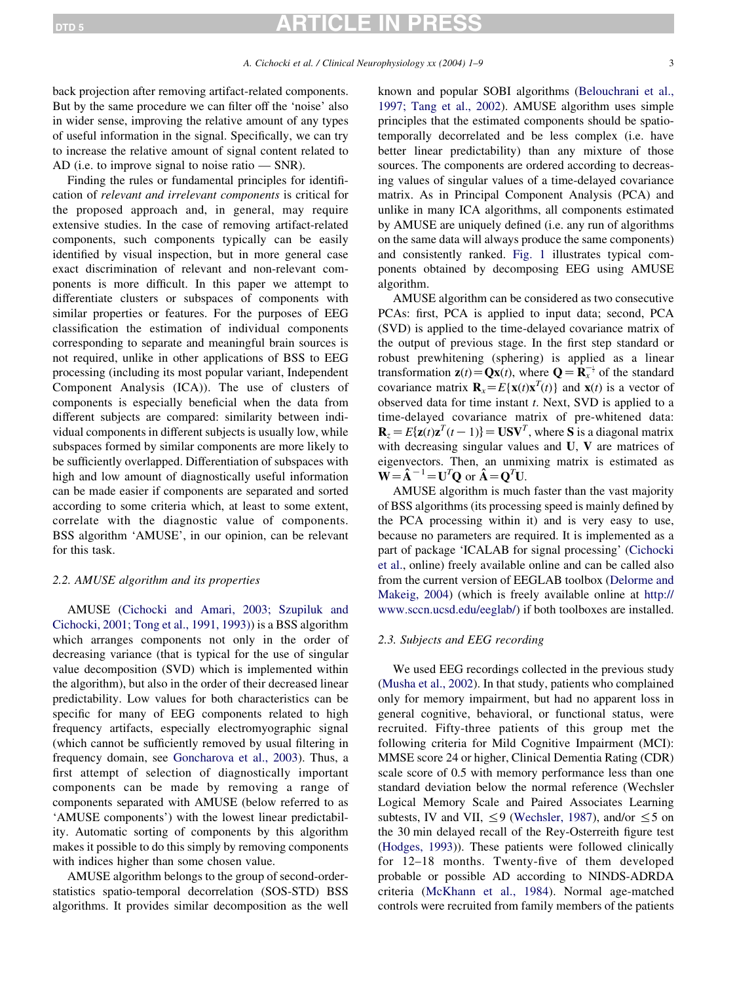## RTICLE IN PRE

back projection after removing artifact-related components. But by the same procedure we can filter off the 'noise' also in wider sense, improving the relative amount of any types of useful information in the signal. Specifically, we can try to increase the relative amount of signal content related to AD (i.e. to improve signal to noise ratio — SNR).

Finding the rules or fundamental principles for identification of relevant and irrelevant components is critical for the proposed approach and, in general, may require extensive studies. In the case of removing artifact-related components, such components typically can be easily identified by visual inspection, but in more general case exact discrimination of relevant and non-relevant components is more difficult. In this paper we attempt to differentiate clusters or subspaces of components with similar properties or features. For the purposes of EEG classification the estimation of individual components corresponding to separate and meaningful brain sources is not required, unlike in other applications of BSS to EEG processing (including its most popular variant, Independent Component Analysis (ICA)). The use of clusters of components is especially beneficial when the data from different subjects are compared: similarity between individual components in different subjects is usually low, while subspaces formed by similar components are more likely to be sufficiently overlapped. Differentiation of subspaces with high and low amount of diagnostically useful information can be made easier if components are separated and sorted according to some criteria which, at least to some extent, correlate with the diagnostic value of components. BSS algorithm 'AMUSE', in our opinion, can be relevant for this task.

#### 2.2. AMUSE algorithm and its properties

AMUSE ([Cichocki and Amari, 2003; Szupiluk and](#page-8-0) [Cichocki, 2001; Tong et al., 1991, 1993\)](#page-8-0)) is a BSS algorithm which arranges components not only in the order of decreasing variance (that is typical for the use of singular value decomposition (SVD) which is implemented within the algorithm), but also in the order of their decreased linear predictability. Low values for both characteristics can be specific for many of EEG components related to high frequency artifacts, especially electromyographic signal (which cannot be sufficiently removed by usual filtering in frequency domain, see [Goncharova et al., 2003\)](#page-8-0). Thus, a first attempt of selection of diagnostically important components can be made by removing a range of components separated with AMUSE (below referred to as 'AMUSE components') with the lowest linear predictability. Automatic sorting of components by this algorithm makes it possible to do this simply by removing components with indices higher than some chosen value.

AMUSE algorithm belongs to the group of second-orderstatistics spatio-temporal decorrelation (SOS-STD) BSS algorithms. It provides similar decomposition as the well known and popular SOBI algorithms ([Belouchrani et al.,](#page-7-0) [1997; Tang et al., 2002\)](#page-7-0). AMUSE algorithm uses simple principles that the estimated components should be spatiotemporally decorrelated and be less complex (i.e. have better linear predictability) than any mixture of those sources. The components are ordered according to decreasing values of singular values of a time-delayed covariance matrix. As in Principal Component Analysis (PCA) and unlike in many ICA algorithms, all components estimated by AMUSE are uniquely defined (i.e. any run of algorithms on the same data will always produce the same components) and consistently ranked. [Fig. 1](#page-3-0) illustrates typical components obtained by decomposing EEG using AMUSE algorithm.

AMUSE algorithm can be considered as two consecutive PCAs: first, PCA is applied to input data; second, PCA (SVD) is applied to the time-delayed covariance matrix of the output of previous stage. In the first step standard or robust prewhitening (sphering) is applied as a linear transformation  $\mathbf{z}(t) = \mathbf{Q}\mathbf{x}(t)$ , where  $\mathbf{Q} = \mathbf{R}_{x}^{-\frac{1}{2}}$  of the standard covariance matrix  $\mathbf{R}_x = E\{\mathbf{x}(t)\mathbf{x}^T(t)\}\$  and  $\mathbf{x}(t)$  is a vector of observed data for time instant  $t$ . Next, SVD is applied to a time-delayed covariance matrix of pre-whitened data:  $\mathbf{R}_z = E\{\mathbf{z}(t)\mathbf{z}^T(t-1)\} = \mathbf{U}\mathbf{S}\mathbf{V}^T$ , where  $\mathbf{S}$  is a diagonal matrix with decreasing singular values and U, V are matrices of eigenvectors. Then, an unmixing matrix is estimated as  $\mathbf{W} = \hat{\mathbf{A}}^{-1} = \mathbf{U}^T \mathbf{Q}$  or  $\hat{\mathbf{A}} = \mathbf{Q}^T \mathbf{U}$ .

AMUSE algorithm is much faster than the vast majority of BSS algorithms (its processing speed is mainly defined by the PCA processing within it) and is very easy to use, because no parameters are required. It is implemented as a part of package 'ICALAB for signal processing' [\(Cichocki](#page-8-0) [et al.](#page-8-0), online) freely available online and can be called also from the current version of EEGLAB toolbox ([Delorme and](#page-8-0) [Makeig, 2004\)](#page-8-0) (which is freely available online at [http://](http://www.sccn.ucsd.edu/eeglab/) [www.sccn.ucsd.edu/eeglab/\)](http://www.sccn.ucsd.edu/eeglab/) if both toolboxes are installed.

### 2.3. Subjects and EEG recording

We used EEG recordings collected in the previous study ([Musha et al., 2002](#page-8-0)). In that study, patients who complained only for memory impairment, but had no apparent loss in general cognitive, behavioral, or functional status, were recruited. Fifty-three patients of this group met the following criteria for Mild Cognitive Impairment (MCI): MMSE score 24 or higher, Clinical Dementia Rating (CDR) scale score of 0.5 with memory performance less than one standard deviation below the normal reference (Wechsler Logical Memory Scale and Paired Associates Learning subtests, IV and VII,  $\leq$ 9 [\(Wechsler, 1987\)](#page-8-0), and/or  $\leq$ 5 on the 30 min delayed recall of the Rey-Osterreith figure test ([Hodges, 1993](#page-8-0))). These patients were followed clinically for 12–18 months. Twenty-five of them developed probable or possible AD according to NINDS-ADRDA criteria [\(McKhann et al., 1984](#page-8-0)). Normal age-matched controls were recruited from family members of the patients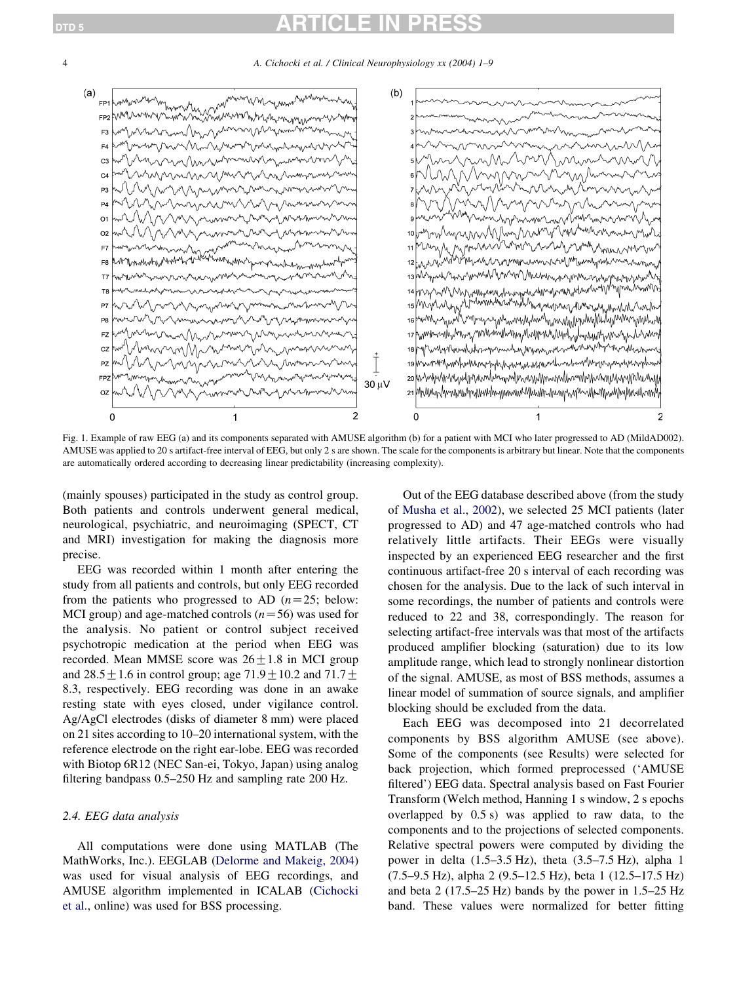<span id="page-3-0"></span>

4 A. Cichocki et al. / Clinical Neurophysiology xx (2004) 1–9



Fig. 1. Example of raw EEG (a) and its components separated with AMUSE algorithm (b) for a patient with MCI who later progressed to AD (MildAD002). AMUSE was applied to 20 s artifact-free interval of EEG, but only 2 s are shown. The scale for the components is arbitrary but linear. Note that the components are automatically ordered according to decreasing linear predictability (increasing complexity).

(mainly spouses) participated in the study as control group. Both patients and controls underwent general medical, neurological, psychiatric, and neuroimaging (SPECT, CT and MRI) investigation for making the diagnosis more precise.

EEG was recorded within 1 month after entering the study from all patients and controls, but only EEG recorded from the patients who progressed to AD  $(n=25;$  below: MCI group) and age-matched controls  $(n=56)$  was used for the analysis. No patient or control subject received psychotropic medication at the period when EEG was recorded. Mean MMSE score was  $26 \pm 1.8$  in MCI group and  $28.5 + 1.6$  in control group; age  $71.9 + 10.2$  and  $71.7 +$ 8.3, respectively. EEG recording was done in an awake resting state with eyes closed, under vigilance control. Ag/AgCl electrodes (disks of diameter 8 mm) were placed on 21 sites according to 10–20 international system, with the reference electrode on the right ear-lobe. EEG was recorded with Biotop 6R12 (NEC San-ei, Tokyo, Japan) using analog filtering bandpass 0.5–250 Hz and sampling rate 200 Hz.

### 2.4. EEG data analysis

All computations were done using MATLAB (The MathWorks, Inc.). EEGLAB [\(Delorme and Makeig, 2004](#page-8-0)) was used for visual analysis of EEG recordings, and AMUSE algorithm implemented in ICALAB ([Cichocki](#page-8-0) [et al.,](#page-8-0) online) was used for BSS processing.

Out of the EEG database described above (from the study of [Musha et al., 2002\)](#page-8-0), we selected 25 MCI patients (later progressed to AD) and 47 age-matched controls who had relatively little artifacts. Their EEGs were visually inspected by an experienced EEG researcher and the first continuous artifact-free 20 s interval of each recording was chosen for the analysis. Due to the lack of such interval in some recordings, the number of patients and controls were reduced to 22 and 38, correspondingly. The reason for selecting artifact-free intervals was that most of the artifacts produced amplifier blocking (saturation) due to its low amplitude range, which lead to strongly nonlinear distortion of the signal. AMUSE, as most of BSS methods, assumes a linear model of summation of source signals, and amplifier blocking should be excluded from the data.

Each EEG was decomposed into 21 decorrelated components by BSS algorithm AMUSE (see above). Some of the components (see Results) were selected for back projection, which formed preprocessed ('AMUSE filtered') EEG data. Spectral analysis based on Fast Fourier Transform (Welch method, Hanning 1 s window, 2 s epochs overlapped by 0.5 s) was applied to raw data, to the components and to the projections of selected components. Relative spectral powers were computed by dividing the power in delta (1.5–3.5 Hz), theta (3.5–7.5 Hz), alpha 1 (7.5–9.5 Hz), alpha 2 (9.5–12.5 Hz), beta 1 (12.5–17.5 Hz) and beta 2 (17.5–25 Hz) bands by the power in 1.5–25 Hz band. These values were normalized for better fitting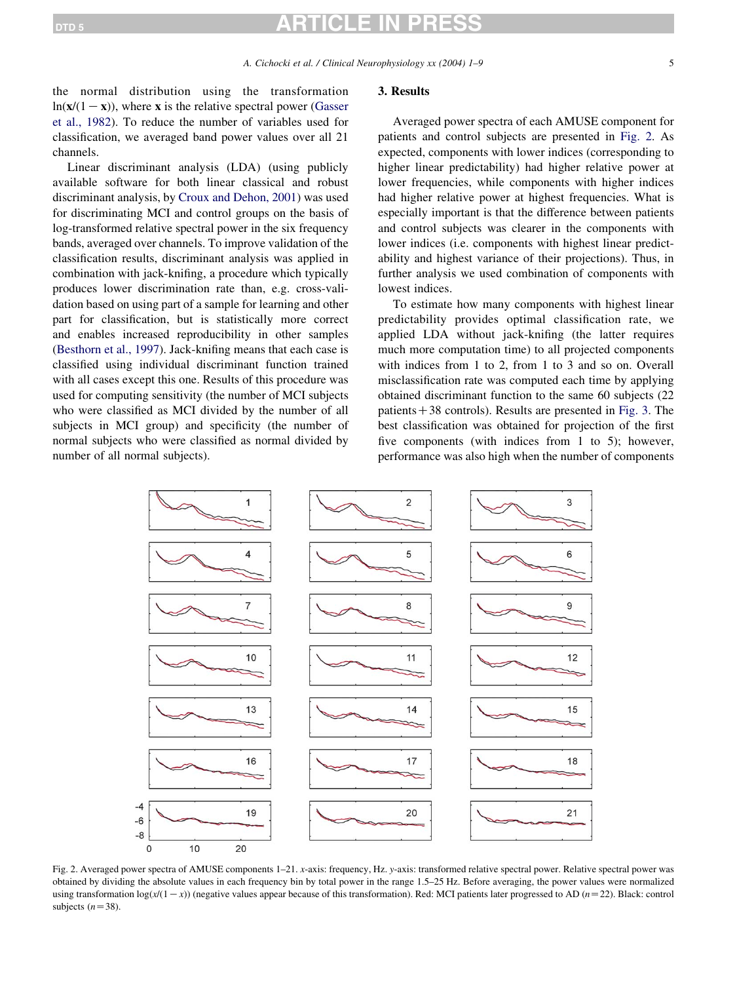<span id="page-4-0"></span>the normal distribution using the transformation  $ln(x/(1-x))$ , where x is the relative spectral power [\(Gasser](#page-8-0) [et al., 1982\)](#page-8-0). To reduce the number of variables used for classification, we averaged band power values over all 21 channels.

Linear discriminant analysis (LDA) (using publicly available software for both linear classical and robust discriminant analysis, by [Croux and Dehon, 2001\)](#page-8-0) was used for discriminating MCI and control groups on the basis of log-transformed relative spectral power in the six frequency bands, averaged over channels. To improve validation of the classification results, discriminant analysis was applied in combination with jack-knifing, a procedure which typically produces lower discrimination rate than, e.g. cross-validation based on using part of a sample for learning and other part for classification, but is statistically more correct and enables increased reproducibility in other samples ([Besthorn et al., 1997\)](#page-7-0). Jack-knifing means that each case is classified using individual discriminant function trained with all cases except this one. Results of this procedure was used for computing sensitivity (the number of MCI subjects who were classified as MCI divided by the number of all subjects in MCI group) and specificity (the number of normal subjects who were classified as normal divided by number of all normal subjects).

### 3. Results

Averaged power spectra of each AMUSE component for patients and control subjects are presented in Fig. 2. As expected, components with lower indices (corresponding to higher linear predictability) had higher relative power at lower frequencies, while components with higher indices had higher relative power at highest frequencies. What is especially important is that the difference between patients and control subjects was clearer in the components with lower indices (i.e. components with highest linear predictability and highest variance of their projections). Thus, in further analysis we used combination of components with lowest indices.

To estimate how many components with highest linear predictability provides optimal classification rate, we applied LDA without jack-knifing (the latter requires much more computation time) to all projected components with indices from 1 to 2, from 1 to 3 and so on. Overall misclassification rate was computed each time by applying obtained discriminant function to the same 60 subjects (22 patients  $+38$  controls). Results are presented in [Fig. 3.](#page-5-0) The best classification was obtained for projection of the first five components (with indices from 1 to 5); however, performance was also high when the number of components



Fig. 2. Averaged power spectra of AMUSE components 1–21. x-axis: frequency, Hz. y-axis: transformed relative spectral power. Relative spectral power was obtained by dividing the absolute values in each frequency bin by total power in the range 1.5–25 Hz. Before averaging, the power values were normalized using transformation  $log(x/(1-x))$  (negative values appear because of this transformation). Red: MCI patients later progressed to AD (n=22). Black: control subjects  $(n=38)$ .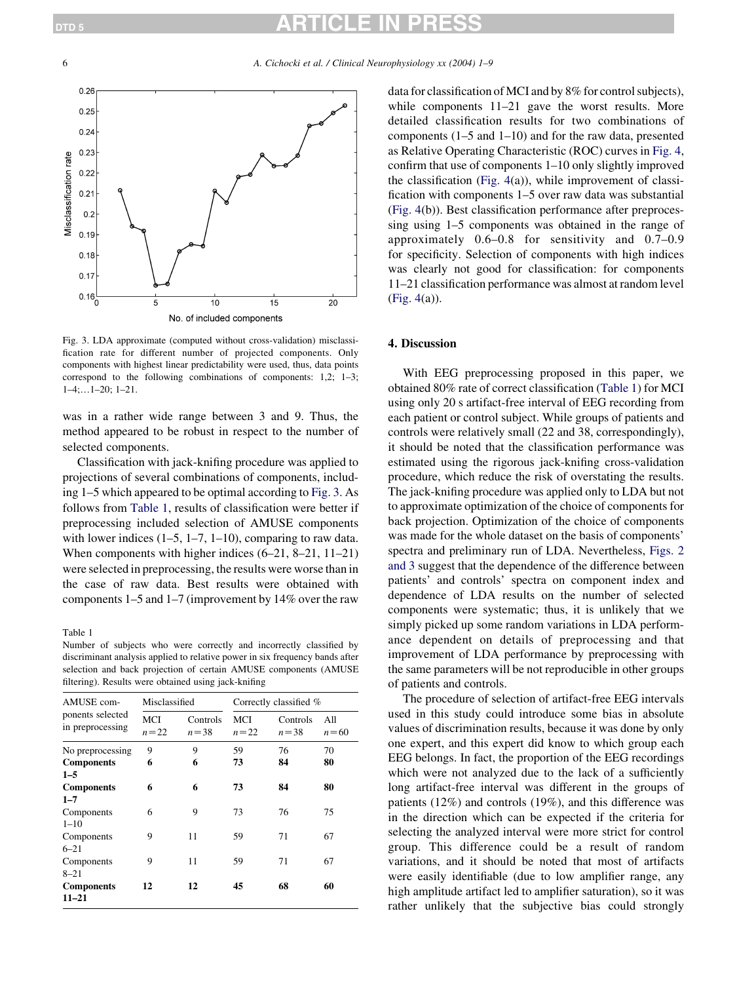<span id="page-5-0"></span>

Fig. 3. LDA approximate (computed without cross-validation) misclassification rate for different number of projected components. Only components with highest linear predictability were used, thus, data points correspond to the following combinations of components: 1,2; 1–3; 1–4;.1–20; 1–21.

was in a rather wide range between 3 and 9. Thus, the method appeared to be robust in respect to the number of selected components.

Classification with jack-knifing procedure was applied to projections of several combinations of components, including 1–5 which appeared to be optimal according to Fig. 3. As follows from Table 1, results of classification were better if preprocessing included selection of AMUSE components with lower indices  $(1-5, 1-7, 1-10)$ , comparing to raw data. When components with higher indices  $(6-21, 8-21, 11-21)$ were selected in preprocessing, the results were worse than in the case of raw data. Best results were obtained with components 1–5 and 1–7 (improvement by 14% over the raw

Table 1

Number of subjects who were correctly and incorrectly classified by discriminant analysis applied to relative power in six frequency bands after selection and back projection of certain AMUSE components (AMUSE filtering). Results were obtained using jack-knifing

| AMUSE com-<br>ponents selected<br>in preprocessing | Misclassified   |                      | Correctly classified % |                      |                 |
|----------------------------------------------------|-----------------|----------------------|------------------------|----------------------|-----------------|
|                                                    | MCI<br>$n = 22$ | Controls<br>$n = 38$ | MCI<br>$n = 22$        | Controls<br>$n = 38$ | All<br>$n = 60$ |
| No preprocessing<br><b>Components</b><br>$1 - 5$   | 9<br>6          | 9<br>6               | 59<br>73               | 76<br>84             | 70<br>80        |
| <b>Components</b><br>$1 - 7$                       | 6               | 6                    | 73                     | 84                   | 80              |
| Components<br>$1 - 10$                             | 6               | 9                    | 73                     | 76                   | 75              |
| Components<br>$6 - 21$                             | 9               | 11                   | 59                     | 71                   | 67              |
| Components<br>$8 - 21$                             | 9               | 11                   | 59                     | 71                   | 67              |
| <b>Components</b><br>$11 - 21$                     | 12              | 12                   | 45                     | 68                   | 60              |

data for classification of MCI and by 8% for control subjects), while components 11–21 gave the worst results. More detailed classification results for two combinations of components (1–5 and 1–10) and for the raw data, presented as Relative Operating Characteristic (ROC) curves in [Fig. 4](#page-6-0), confirm that use of components 1–10 only slightly improved the classification [\(Fig. 4\(](#page-6-0)a)), while improvement of classification with components 1–5 over raw data was substantial ([Fig. 4](#page-6-0)(b)). Best classification performance after preprocessing using 1–5 components was obtained in the range of approximately 0.6–0.8 for sensitivity and 0.7–0.9 for specificity. Selection of components with high indices was clearly not good for classification: for components 11–21 classification performance was almost at random level ([Fig. 4](#page-6-0)(a)).

#### 4. Discussion

With EEG preprocessing proposed in this paper, we obtained 80% rate of correct classification (Table 1) for MCI using only 20 s artifact-free interval of EEG recording from each patient or control subject. While groups of patients and controls were relatively small (22 and 38, correspondingly), it should be noted that the classification performance was estimated using the rigorous jack-knifing cross-validation procedure, which reduce the risk of overstating the results. The jack-knifing procedure was applied only to LDA but not to approximate optimization of the choice of components for back projection. Optimization of the choice of components was made for the whole dataset on the basis of components' spectra and preliminary run of LDA. Nevertheless, [Figs. 2](#page-4-0) [and 3](#page-4-0) suggest that the dependence of the difference between patients' and controls' spectra on component index and dependence of LDA results on the number of selected components were systematic; thus, it is unlikely that we simply picked up some random variations in LDA performance dependent on details of preprocessing and that improvement of LDA performance by preprocessing with the same parameters will be not reproducible in other groups of patients and controls.

The procedure of selection of artifact-free EEG intervals used in this study could introduce some bias in absolute values of discrimination results, because it was done by only one expert, and this expert did know to which group each EEG belongs. In fact, the proportion of the EEG recordings which were not analyzed due to the lack of a sufficiently long artifact-free interval was different in the groups of patients (12%) and controls (19%), and this difference was in the direction which can be expected if the criteria for selecting the analyzed interval were more strict for control group. This difference could be a result of random variations, and it should be noted that most of artifacts were easily identifiable (due to low amplifier range, any high amplitude artifact led to amplifier saturation), so it was rather unlikely that the subjective bias could strongly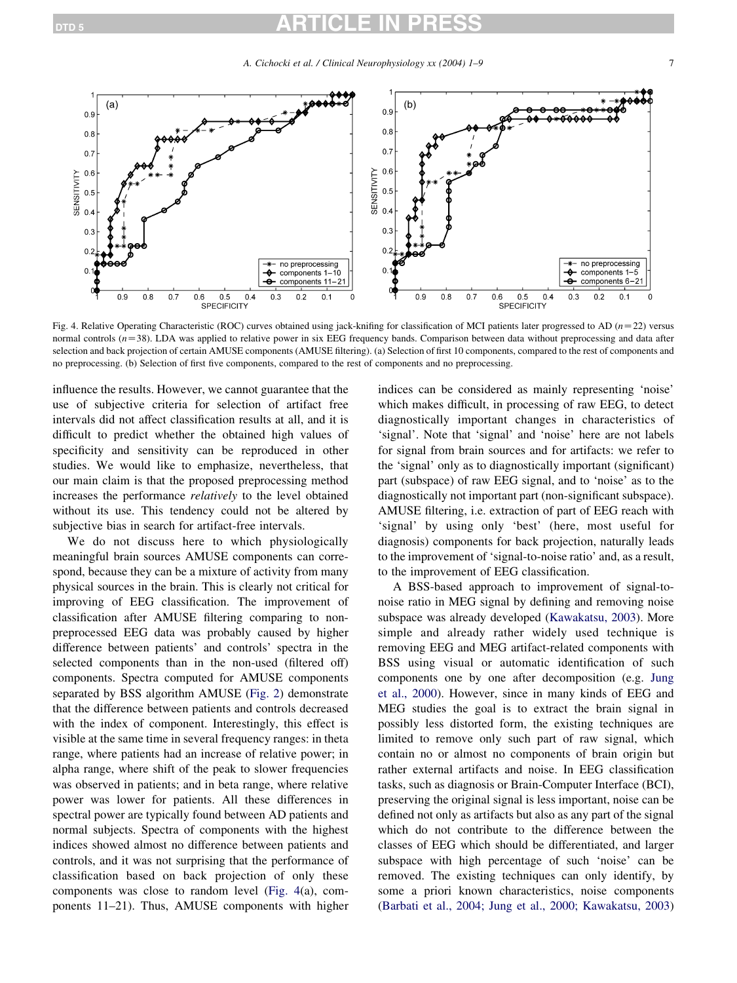A. Cichocki et al. / Clinical Neurophysiology xx (2004) 1-9 7

<span id="page-6-0"></span>

Fig. 4. Relative Operating Characteristic (ROC) curves obtained using jack-knifing for classification of MCI patients later progressed to AD ( $n=22$ ) versus normal controls  $(n=38)$ . LDA was applied to relative power in six EEG frequency bands. Comparison between data without preprocessing and data after selection and back projection of certain AMUSE components (AMUSE filtering). (a) Selection of first 10 components, compared to the rest of components and no preprocessing. (b) Selection of first five components, compared to the rest of components and no preprocessing.

influence the results. However, we cannot guarantee that the use of subjective criteria for selection of artifact free intervals did not affect classification results at all, and it is difficult to predict whether the obtained high values of specificity and sensitivity can be reproduced in other studies. We would like to emphasize, nevertheless, that our main claim is that the proposed preprocessing method increases the performance relatively to the level obtained without its use. This tendency could not be altered by subjective bias in search for artifact-free intervals.

We do not discuss here to which physiologically meaningful brain sources AMUSE components can correspond, because they can be a mixture of activity from many physical sources in the brain. This is clearly not critical for improving of EEG classification. The improvement of classification after AMUSE filtering comparing to nonpreprocessed EEG data was probably caused by higher difference between patients' and controls' spectra in the selected components than in the non-used (filtered off) components. Spectra computed for AMUSE components separated by BSS algorithm AMUSE ([Fig. 2\)](#page-4-0) demonstrate that the difference between patients and controls decreased with the index of component. Interestingly, this effect is visible at the same time in several frequency ranges: in theta range, where patients had an increase of relative power; in alpha range, where shift of the peak to slower frequencies was observed in patients; and in beta range, where relative power was lower for patients. All these differences in spectral power are typically found between AD patients and normal subjects. Spectra of components with the highest indices showed almost no difference between patients and controls, and it was not surprising that the performance of classification based on back projection of only these components was close to random level (Fig. 4(a), components 11–21). Thus, AMUSE components with higher

indices can be considered as mainly representing 'noise' which makes difficult, in processing of raw EEG, to detect diagnostically important changes in characteristics of 'signal'. Note that 'signal' and 'noise' here are not labels for signal from brain sources and for artifacts: we refer to the 'signal' only as to diagnostically important (significant) part (subspace) of raw EEG signal, and to 'noise' as to the diagnostically not important part (non-significant subspace). AMUSE filtering, i.e. extraction of part of EEG reach with 'signal' by using only 'best' (here, most useful for diagnosis) components for back projection, naturally leads to the improvement of 'signal-to-noise ratio' and, as a result, to the improvement of EEG classification.

A BSS-based approach to improvement of signal-tonoise ratio in MEG signal by defining and removing noise subspace was already developed ([Kawakatsu, 2003\)](#page-8-0). More simple and already rather widely used technique is removing EEG and MEG artifact-related components with BSS using visual or automatic identification of such components one by one after decomposition (e.g. [Jung](#page-8-0) [et al., 2000](#page-8-0)). However, since in many kinds of EEG and MEG studies the goal is to extract the brain signal in possibly less distorted form, the existing techniques are limited to remove only such part of raw signal, which contain no or almost no components of brain origin but rather external artifacts and noise. In EEG classification tasks, such as diagnosis or Brain-Computer Interface (BCI), preserving the original signal is less important, noise can be defined not only as artifacts but also as any part of the signal which do not contribute to the difference between the classes of EEG which should be differentiated, and larger subspace with high percentage of such 'noise' can be removed. The existing techniques can only identify, by some a priori known characteristics, noise components ([Barbati et al., 2004; Jung et al., 2000; Kawakatsu, 2003](#page-7-0))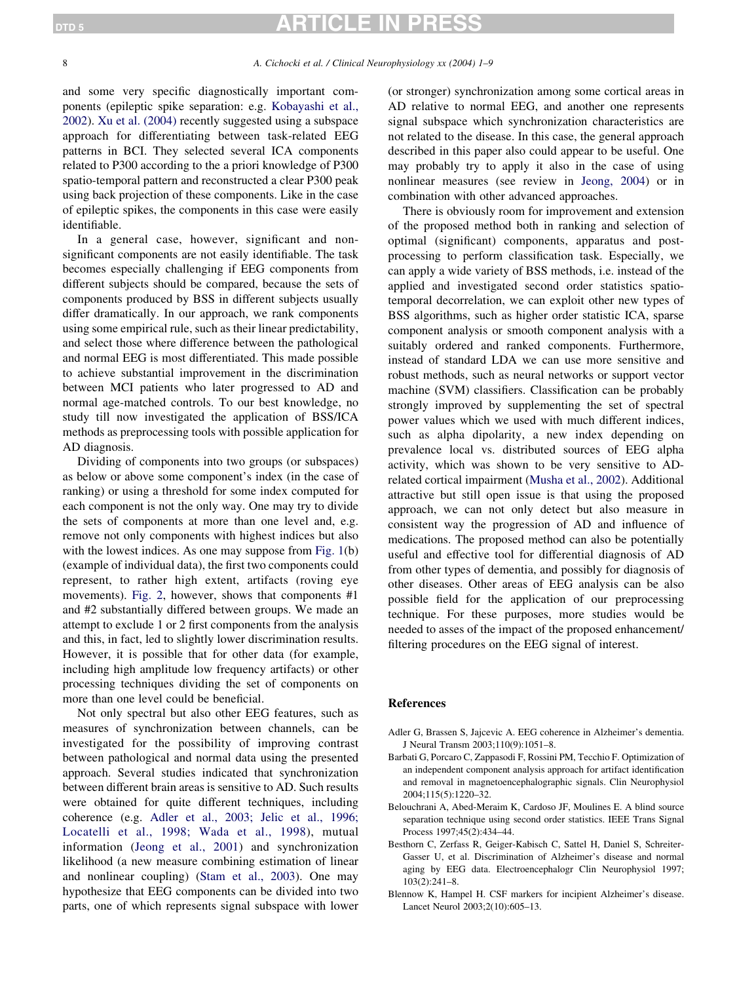## RTICLE IN PRE

<span id="page-7-0"></span>and some very specific diagnostically important components (epileptic spike separation: e.g. [Kobayashi et al.,](#page-8-0) [2002\)](#page-8-0). [Xu et al. \(2004\)](#page-8-0) recently suggested using a subspace approach for differentiating between task-related EEG patterns in BCI. They selected several ICA components related to P300 according to the a priori knowledge of P300 spatio-temporal pattern and reconstructed a clear P300 peak using back projection of these components. Like in the case of epileptic spikes, the components in this case were easily identifiable.

In a general case, however, significant and nonsignificant components are not easily identifiable. The task becomes especially challenging if EEG components from different subjects should be compared, because the sets of components produced by BSS in different subjects usually differ dramatically. In our approach, we rank components using some empirical rule, such as their linear predictability, and select those where difference between the pathological and normal EEG is most differentiated. This made possible to achieve substantial improvement in the discrimination between MCI patients who later progressed to AD and normal age-matched controls. To our best knowledge, no study till now investigated the application of BSS/ICA methods as preprocessing tools with possible application for AD diagnosis.

Dividing of components into two groups (or subspaces) as below or above some component's index (in the case of ranking) or using a threshold for some index computed for each component is not the only way. One may try to divide the sets of components at more than one level and, e.g. remove not only components with highest indices but also with the lowest indices. As one may suppose from [Fig. 1](#page-3-0)(b) (example of individual data), the first two components could represent, to rather high extent, artifacts (roving eye movements). [Fig. 2,](#page-4-0) however, shows that components #1 and #2 substantially differed between groups. We made an attempt to exclude 1 or 2 first components from the analysis and this, in fact, led to slightly lower discrimination results. However, it is possible that for other data (for example, including high amplitude low frequency artifacts) or other processing techniques dividing the set of components on more than one level could be beneficial.

Not only spectral but also other EEG features, such as measures of synchronization between channels, can be investigated for the possibility of improving contrast between pathological and normal data using the presented approach. Several studies indicated that synchronization between different brain areas is sensitive to AD. Such results were obtained for quite different techniques, including coherence (e.g. Adler et al., 2003; Jelic et al., 1996; Locatelli et al., 1998; Wada et al., 1998), mutual information ([Jeong et al., 2001\)](#page-8-0) and synchronization likelihood (a new measure combining estimation of linear and nonlinear coupling) ([Stam et al., 2003\)](#page-8-0). One may hypothesize that EEG components can be divided into two parts, one of which represents signal subspace with lower (or stronger) synchronization among some cortical areas in AD relative to normal EEG, and another one represents signal subspace which synchronization characteristics are not related to the disease. In this case, the general approach described in this paper also could appear to be useful. One may probably try to apply it also in the case of using nonlinear measures (see review in [Jeong, 2004](#page-8-0)) or in combination with other advanced approaches.

There is obviously room for improvement and extension of the proposed method both in ranking and selection of optimal (significant) components, apparatus and postprocessing to perform classification task. Especially, we can apply a wide variety of BSS methods, i.e. instead of the applied and investigated second order statistics spatiotemporal decorrelation, we can exploit other new types of BSS algorithms, such as higher order statistic ICA, sparse component analysis or smooth component analysis with a suitably ordered and ranked components. Furthermore, instead of standard LDA we can use more sensitive and robust methods, such as neural networks or support vector machine (SVM) classifiers. Classification can be probably strongly improved by supplementing the set of spectral power values which we used with much different indices, such as alpha dipolarity, a new index depending on prevalence local vs. distributed sources of EEG alpha activity, which was shown to be very sensitive to ADrelated cortical impairment ([Musha et al., 2002\)](#page-8-0). Additional attractive but still open issue is that using the proposed approach, we can not only detect but also measure in consistent way the progression of AD and influence of medications. The proposed method can also be potentially useful and effective tool for differential diagnosis of AD from other types of dementia, and possibly for diagnosis of other diseases. Other areas of EEG analysis can be also possible field for the application of our preprocessing technique. For these purposes, more studies would be needed to asses of the impact of the proposed enhancement/ filtering procedures on the EEG signal of interest.

#### References

- Adler G, Brassen S, Jajcevic A. EEG coherence in Alzheimer's dementia. J Neural Transm 2003;110(9):1051–8.
- Barbati G, Porcaro C, Zappasodi F, Rossini PM, Tecchio F. Optimization of an independent component analysis approach for artifact identification and removal in magnetoencephalographic signals. Clin Neurophysiol 2004;115(5):1220–32.
- Belouchrani A, Abed-Meraim K, Cardoso JF, Moulines E. A blind source separation technique using second order statistics. IEEE Trans Signal Process 1997;45(2):434–44.
- Besthorn C, Zerfass R, Geiger-Kabisch C, Sattel H, Daniel S, Schreiter-Gasser U, et al. Discrimination of Alzheimer's disease and normal aging by EEG data. Electroencephalogr Clin Neurophysiol 1997; 103(2):241–8.
- Blennow K, Hampel H. CSF markers for incipient Alzheimer's disease. Lancet Neurol 2003;2(10):605–13.